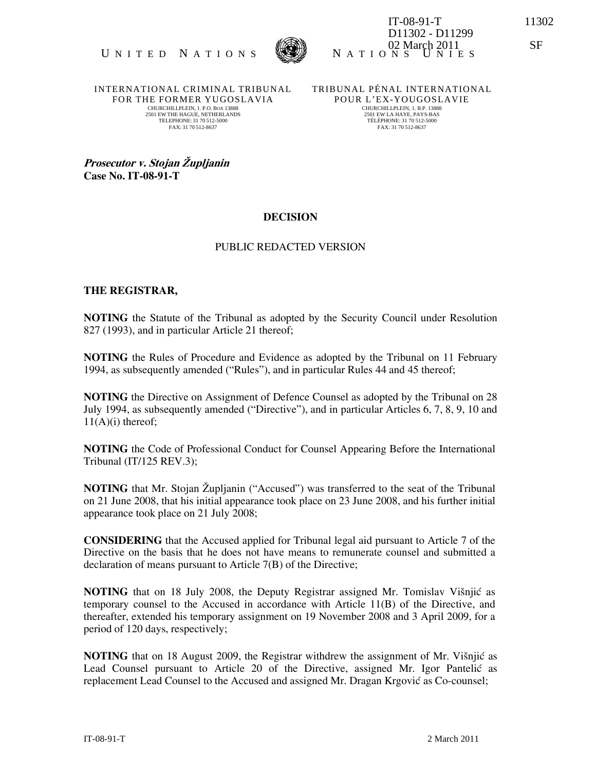

UNITED NATIONS WE NATIONS INTES IT-08-91-T 11302 D11302 - D11299 02 March 2011 SF

INTERNATIONAL CRIMINAL TRIBUNAL FOR THE FORMER YUGOSLAVIA CHURCHILLPLEIN, 1. P.O. BOX 13888 2501 EW THE HAGUE, NETHERLANDS TELEPHONE: 31 70 512-5000 FAX: 31 70 512-8637

TRIBUNAL PÉNAL INTERNATIONAL POUR L'EX-YOUGOSLAVIE CHURCHILLPLEIN, 1. B.P. 13888 2501 EW LA HAYE, PAYS-BAS TÉLÉPHONE: 31 70 512-5000 FAX: 31 70 512-8637

Prosecutor v. Stojan Župljanin Case No. IT-08-91-T

# **DECISION**

### PUBLIC REDACTED VERSION

#### THE REGISTRAR,

NOTING the Statute of the Tribunal as adopted by the Security Council under Resolution 827 (1993), and in particular Article 21 thereof;

NOTING the Rules of Procedure and Evidence as adopted by the Tribunal on 11 February 1994, as subsequently amended ("Rules"), and in particular Rules 44 and 45 thereof;

NOTING the Directive on Assignment of Defence Counsel as adopted by the Tribunal on 28 July 1994, as subsequently amended ("Directive"), and in particular Articles 6, 7, 8, 9, 10 and  $11(A)(i)$  thereof;

NOTING the Code of Professional Conduct for Counsel Appearing Before the International Tribunal (IT/125 REV.3);

NOTING that Mr. Stojan Župljanin ("Accused") was transferred to the seat of the Tribunal on 21 June 2008, that his initial appearance took place on 23 June 2008, and his further initial appearance took place on 21 July 2008;

CONSIDERING that the Accused applied for Tribunal legal aid pursuant to Article 7 of the Directive on the basis that he does not have means to remunerate counsel and submitted a declaration of means pursuant to Article 7(B) of the Directive;

NOTING that on 18 July 2008, the Deputy Registrar assigned Mr. Tomislav Višnjić as temporary counsel to the Accused in accordance with Article 11(B) of the Directive, and thereafter, extended his temporary assignment on 19 November 2008 and 3 April 2009, for a period of 120 days, respectively;

NOTING that on 18 August 2009, the Registrar withdrew the assignment of Mr. Višnjić as Lead Counsel pursuant to Article 20 of the Directive, assigned Mr. Igor Pantelić as replacement Lead Counsel to the Accused and assigned Mr. Dragan Krgović as Co-counsel;

IT-08-91-T 2 March 2011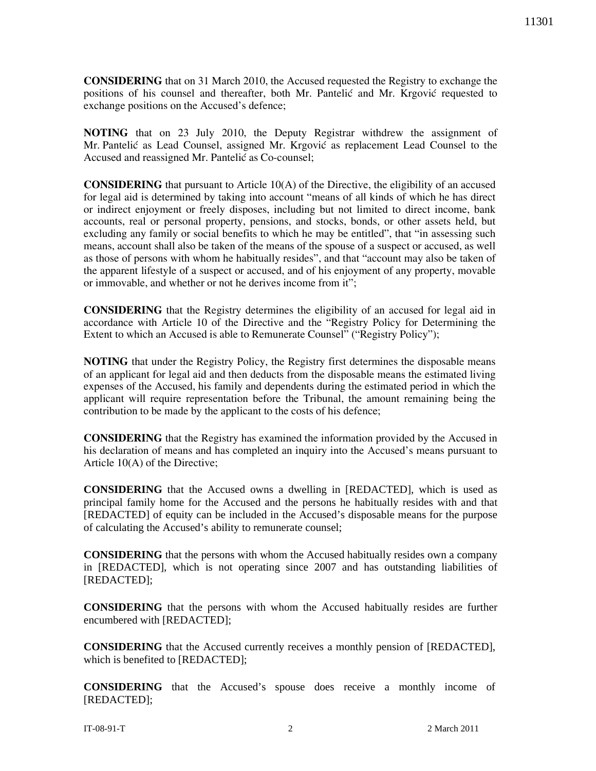CONSIDERING that on 31 March 2010, the Accused requested the Registry to exchange the positions of his counsel and thereafter, both Mr. Pantelić and Mr. Krgović requested to exchange positions on the Accused's defence;

NOTING that on 23 July 2010, the Deputy Registrar withdrew the assignment of Mr. Pantelić as Lead Counsel, assigned Mr. Krgović as replacement Lead Counsel to the Accused and reassigned Mr. Pantelić as Co-counsel;

CONSIDERING that pursuant to Article 10(A) of the Directive, the eligibility of an accused for legal aid is determined by taking into account "means of all kinds of which he has direct or indirect enjoyment or freely disposes, including but not limited to direct income, bank accounts, real or personal property, pensions, and stocks, bonds, or other assets held, but excluding any family or social benefits to which he may be entitled", that "in assessing such means, account shall also be taken of the means of the spouse of a suspect or accused, as well as those of persons with whom he habitually resides", and that "account may also be taken of the apparent lifestyle of a suspect or accused, and of his enjoyment of any property, movable or immovable, and whether or not he derives income from it";

CONSIDERING that the Registry determines the eligibility of an accused for legal aid in accordance with Article 10 of the Directive and the "Registry Policy for Determining the Extent to which an Accused is able to Remunerate Counsel" ("Registry Policy");

NOTING that under the Registry Policy, the Registry first determines the disposable means of an applicant for legal aid and then deducts from the disposable means the estimated living expenses of the Accused, his family and dependents during the estimated period in which the applicant will require representation before the Tribunal, the amount remaining being the contribution to be made by the applicant to the costs of his defence;

CONSIDERING that the Registry has examined the information provided by the Accused in his declaration of means and has completed an inquiry into the Accused's means pursuant to Article 10(A) of the Directive;

**CONSIDERING** that the Accused owns a dwelling in [REDACTED], which is used as principal family home for the Accused and the persons he habitually resides with and that [REDACTED] of equity can be included in the Accused's disposable means for the purpose of calculating the Accused's ability to remunerate counsel;

**CONSIDERING** that the persons with whom the Accused habitually resides own a company in [REDACTED], which is not operating since 2007 and has outstanding liabilities of [REDACTED];

**CONSIDERING** that the persons with whom the Accused habitually resides are further encumbered with [REDACTED];

**CONSIDERING** that the Accused currently receives a monthly pension of [REDACTED], which is benefited to [REDACTED];

**CONSIDERING** that the Accused's spouse does receive a monthly income of [REDACTED];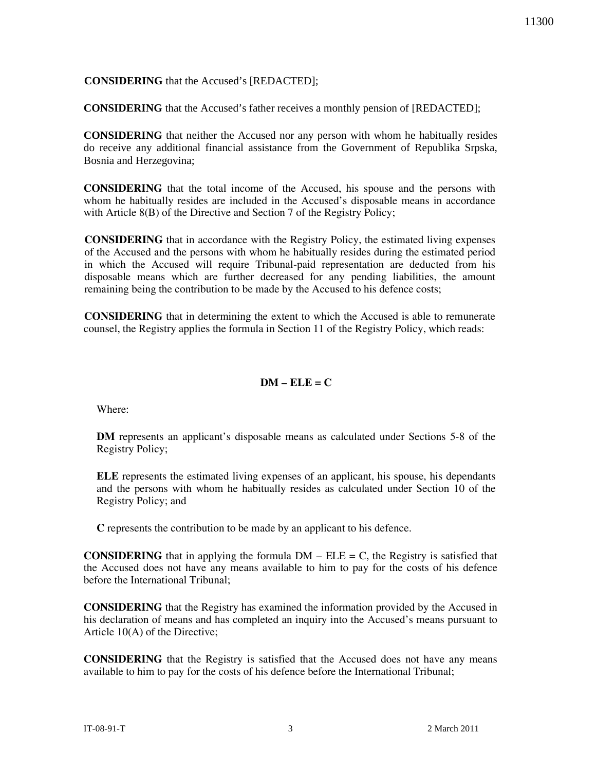## **CONSIDERING** that the Accused's [REDACTED];

**CONSIDERING** that the Accused's father receives a monthly pension of [REDACTED];

**CONSIDERING** that neither the Accused nor any person with whom he habitually resides do receive any additional financial assistance from the Government of Republika Srpska, Bosnia and Herzegovina;

CONSIDERING that the total income of the Accused, his spouse and the persons with whom he habitually resides are included in the Accused's disposable means in accordance with Article 8(B) of the Directive and Section 7 of the Registry Policy;

CONSIDERING that in accordance with the Registry Policy, the estimated living expenses of the Accused and the persons with whom he habitually resides during the estimated period in which the Accused will require Tribunal-paid representation are deducted from his disposable means which are further decreased for any pending liabilities, the amount remaining being the contribution to be made by the Accused to his defence costs;

CONSIDERING that in determining the extent to which the Accused is able to remunerate counsel, the Registry applies the formula in Section 11 of the Registry Policy, which reads:

## $DM = ELE = C$

Where:

DM represents an applicant's disposable means as calculated under Sections 5-8 of the Registry Policy;

ELE represents the estimated living expenses of an applicant, his spouse, his dependants and the persons with whom he habitually resides as calculated under Section 10 of the Registry Policy; and

C represents the contribution to be made by an applicant to his defence.

**CONSIDERING** that in applying the formula  $DM - ELE = C$ , the Registry is satisfied that the Accused does not have any means available to him to pay for the costs of his defence before the International Tribunal;

CONSIDERING that the Registry has examined the information provided by the Accused in his declaration of means and has completed an inquiry into the Accused's means pursuant to Article 10(A) of the Directive;

CONSIDERING that the Registry is satisfied that the Accused does not have any means available to him to pay for the costs of his defence before the International Tribunal;